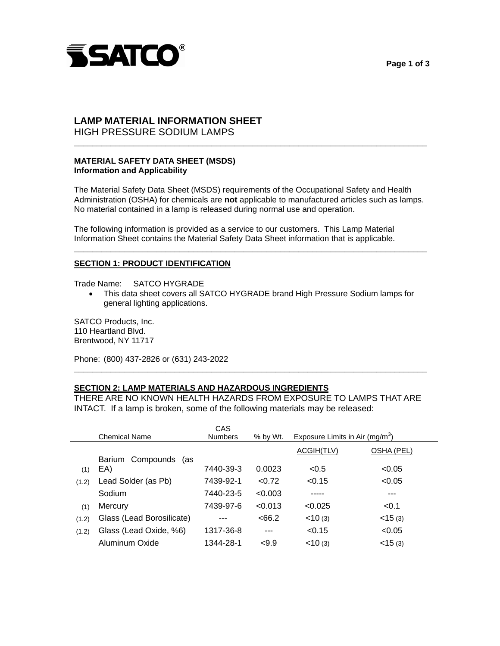

## **Page 1 of 3**

# **LAMP MATERIAL INFORMATION SHEET**

HIGH PRESSURE SODIUM LAMPS

## **MATERIAL SAFETY DATA SHEET (MSDS) Information and Applicability**

 The Material Safety Data Sheet (MSDS) requirements of the Occupational Safety and Health Administration (OSHA) for chemicals are **not** applicable to manufactured articles such as lamps. No material contained in a lamp is released during normal use and operation.

**\_\_\_\_\_\_\_\_\_\_\_\_\_\_\_\_\_\_\_\_\_\_\_\_\_\_\_\_\_\_\_\_\_\_\_\_\_\_\_\_\_\_\_\_\_\_\_\_\_\_\_\_\_\_\_\_\_\_\_\_\_\_\_\_\_\_\_\_\_\_\_\_\_\_\_\_\_** 

 The following information is provided as a service to our customers. This Lamp Material Information Sheet contains the Material Safety Data Sheet information that is applicable.

## **SECTION 1: PRODUCT IDENTIFICATION**

Trade Name: SATCO HYGRADE

• This data sheet covers all SATCO HYGRADE brand High Pressure Sodium lamps for general lighting applications.

**\_\_\_\_\_\_\_\_\_\_\_\_\_\_\_\_\_\_\_\_\_\_\_\_\_\_\_\_\_\_\_\_\_\_\_\_\_\_\_\_\_\_\_\_\_\_\_\_\_\_\_\_\_\_\_\_\_\_\_\_\_\_\_\_\_\_\_\_\_\_\_\_\_\_\_\_\_** 

 SATCO Products, Inc. 110 Heartland Blvd. Brentwood, NY 11717

Phone: (800) 437-2826 or (631) 243-2022

# **SECTION 2: LAMP MATERIALS AND HAZARDOUS INGREDIENTS**

 THERE ARE NO KNOWN HEALTH HAZARDS FROM EXPOSURE TO LAMPS THAT ARE INTACT. If a lamp is broken, some of the following materials may be released:

**\_\_\_\_\_\_\_\_\_\_\_\_\_\_\_\_\_\_\_\_\_\_\_\_\_\_\_\_\_\_\_\_\_\_\_\_\_\_\_\_\_\_\_\_\_\_\_\_\_\_\_\_\_\_\_\_\_\_\_\_\_\_\_\_\_\_\_\_\_\_\_\_\_\_\_\_\_** 

|       |                           | CAS            |            |                                             |              |
|-------|---------------------------|----------------|------------|---------------------------------------------|--------------|
|       | <b>Chemical Name</b>      | <b>Numbers</b> | $%$ by Wt. | Exposure Limits in Air (mg/m <sup>3</sup> ) |              |
|       |                           |                |            | ACGIH(TLV)                                  | OSHA (PEL)   |
|       | Barium Compounds<br>(as   |                |            |                                             |              |
| (1)   | EA)                       | 7440-39-3      | 0.0023     | < 0.5                                       | < 0.05       |
| (1.2) | Lead Solder (as Pb)       | 7439-92-1      | < 0.72     | < 0.15                                      | < 0.05       |
|       | Sodium                    | 7440-23-5      | <0.003     |                                             | ---          |
| (1)   | Mercury                   | 7439-97-6      | < 0.013    | < 0.025                                     | < 0.1        |
| (1.2) | Glass (Lead Borosilicate) |                | <66.2      | < 10(3)                                     | $<$ 15 $(3)$ |
| (1.2) | Glass (Lead Oxide, %6)    | 1317-36-8      | ---        | < 0.15                                      | < 0.05       |
|       | Aluminum Oxide            | 1344-28-1      | < 9.9      | < 10(3)                                     | $<$ 15 $(3)$ |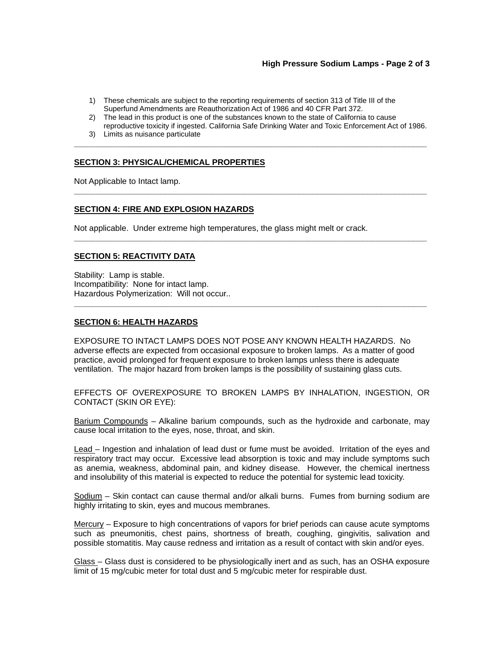## **High Pressure Sodium Lamps - Page 2 of 3**

- 1) These chemicals are subject to the reporting requirements of section 313 of Title III of the Superfund Amendments are Reauthorization Act of 1986 and 40 CFR Part 372.
- 2) The lead in this product is one of the substances known to the state of California to cause reproductive toxicity if ingested. California Safe Drinking Water and Toxic Enforcement Act of 1986.

**\_\_\_\_\_\_\_\_\_\_\_\_\_\_\_\_\_\_\_\_\_\_\_\_\_\_\_\_\_\_\_\_\_\_\_\_\_\_\_\_\_\_\_\_\_\_\_\_\_\_\_\_\_\_\_\_\_\_\_\_\_\_\_\_\_\_\_\_\_\_\_\_\_\_\_\_\_** 

**\_\_\_\_\_\_\_\_\_\_\_\_\_\_\_\_\_\_\_\_\_\_\_\_\_\_\_\_\_\_\_\_\_\_\_\_\_\_\_\_\_\_\_\_\_\_\_\_\_\_\_\_\_\_\_\_\_\_\_\_\_\_\_\_\_\_\_\_\_\_\_\_\_\_\_\_\_** 

**\_\_\_\_\_\_\_\_\_\_\_\_\_\_\_\_\_\_\_\_\_\_\_\_\_\_\_\_\_\_\_\_\_\_\_\_\_\_\_\_\_\_\_\_\_\_\_\_\_\_\_\_\_\_\_\_\_\_\_\_\_\_\_\_\_\_\_\_\_\_\_\_\_\_\_\_\_** 

**\_\_\_\_\_\_\_\_\_\_\_\_\_\_\_\_\_\_\_\_\_\_\_\_\_\_\_\_\_\_\_\_\_\_\_\_\_\_\_\_\_\_\_\_\_\_\_\_\_\_\_\_\_\_\_\_\_\_\_\_\_\_\_\_\_\_\_\_\_\_\_\_\_\_\_\_\_** 

3) Limits as nuisance particulate

#### **SECTION 3: PHYSICAL/CHEMICAL PROPERTIES**

Not Applicable to Intact lamp.

#### **SECTION 4: FIRE AND EXPLOSION HAZARDS**

Not applicable. Under extreme high temperatures, the glass might melt or crack.

#### **SECTION 5: REACTIVITY DATA**

 Stability: Lamp is stable. Incompatibility: None for intact lamp. Hazardous Polymerization: Will not occur..

#### **SECTION 6: HEALTH HAZARDS**

 EXPOSURE TO INTACT LAMPS DOES NOT POSE ANY KNOWN HEALTH HAZARDS. No adverse effects are expected from occasional exposure to broken lamps. As a matter of good practice, avoid prolonged for frequent exposure to broken lamps unless there is adequate ventilation. The major hazard from broken lamps is the possibility of sustaining glass cuts.

 EFFECTS OF OVEREXPOSURE TO BROKEN LAMPS BY INHALATION, INGESTION, OR CONTACT (SKIN OR EYE):

Barium Compounds – Alkaline barium compounds, such as the hydroxide and carbonate, may cause local irritation to the eyes, nose, throat, and skin.

Lead – Ingestion and inhalation of lead dust or fume must be avoided. Irritation of the eyes and respiratory tract may occur. Excessive lead absorption is toxic and may include symptoms such as anemia, weakness, abdominal pain, and kidney disease. However, the chemical inertness and insolubility of this material is expected to reduce the potential for systemic lead toxicity.

Sodium – Skin contact can cause thermal and/or alkali burns. Fumes from burning sodium are highly irritating to skin, eyes and mucous membranes.

 Mercury – Exposure to high concentrations of vapors for brief periods can cause acute symptoms such as pneumonitis, chest pains, shortness of breath, coughing, gingivitis, salivation and possible stomatitis. May cause redness and irritation as a result of contact with skin and/or eyes.

<u>Glass</u> – Glass dust is considered to be physiologically inert and as such, has an OSHA exposure limit of 15 mg/cubic meter for total dust and 5 mg/cubic meter for respirable dust.